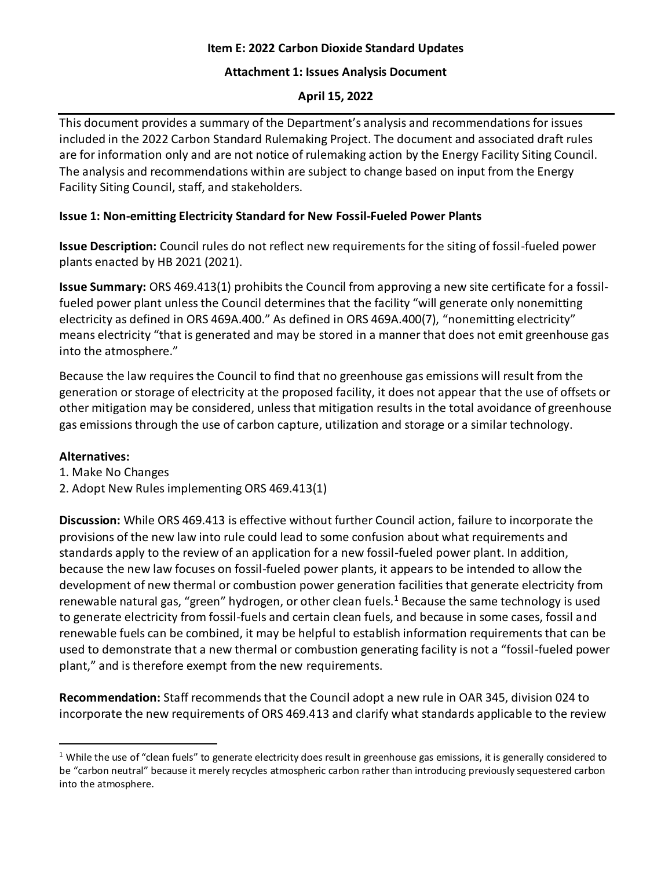### **Item E: 2022 Carbon Dioxide Standard Updates**

#### **Attachment 1: Issues Analysis Document**

## **April 15, 2022**

This document provides a summary of the Department's analysis and recommendations for issues included in the 2022 Carbon Standard Rulemaking Project. The document and associated draft rules are for information only and are not notice of rulemaking action by the Energy Facility Siting Council. The analysis and recommendations within are subject to change based on input from the Energy Facility Siting Council, staff, and stakeholders.

# **Issue 1: Non-emitting Electricity Standard for New Fossil-Fueled Power Plants**

**Issue Description:** Council rules do not reflect new requirements for the siting of fossil-fueled power plants enacted by HB 2021 (2021).

**Issue Summary:** ORS 469.413(1) prohibits the Council from approving a new site certificate for a fossilfueled power plant unless the Council determines that the facility "will generate only nonemitting electricity as defined in ORS 469A.400." As defined in ORS 469A.400(7), "nonemitting electricity" means electricity "that is generated and may be stored in a manner that does not emit greenhouse gas into the atmosphere."

Because the law requires the Council to find that no greenhouse gas emissions will result from the generation or storage of electricity at the proposed facility, it does not appear that the use of offsets or other mitigation may be considered, unless that mitigation results in the total avoidance of greenhouse gas emissions through the use of carbon capture, utilization and storage or a similar technology.

### **Alternatives:**

- 1. Make No Changes
- 2. Adopt New Rules implementing ORS 469.413(1)

**Discussion:** While ORS 469.413 is effective without further Council action, failure to incorporate the provisions of the new law into rule could lead to some confusion about what requirements and standards apply to the review of an application for a new fossil-fueled power plant. In addition, because the new law focuses on fossil-fueled power plants, it appears to be intended to allow the development of new thermal or combustion power generation facilities that generate electricity from renewable natural gas, "green" hydrogen, or other clean fuels.<sup>1</sup> Because the same technology is used to generate electricity from fossil-fuels and certain clean fuels, and because in some cases, fossil and renewable fuels can be combined, it may be helpful to establish information requirements that can be used to demonstrate that a new thermal or combustion generating facility is not a "fossil-fueled power plant," and is therefore exempt from the new requirements.

**Recommendation:** Staff recommends that the Council adopt a new rule in OAR 345, division 024 to incorporate the new requirements of ORS 469.413 and clarify what standards applicable to the review

 $1$  While the use of "clean fuels" to generate electricity does result in greenhouse gas emissions, it is generally considered to be "carbon neutral" because it merely recycles atmospheric carbon rather than introducing previously sequestered carbon into the atmosphere.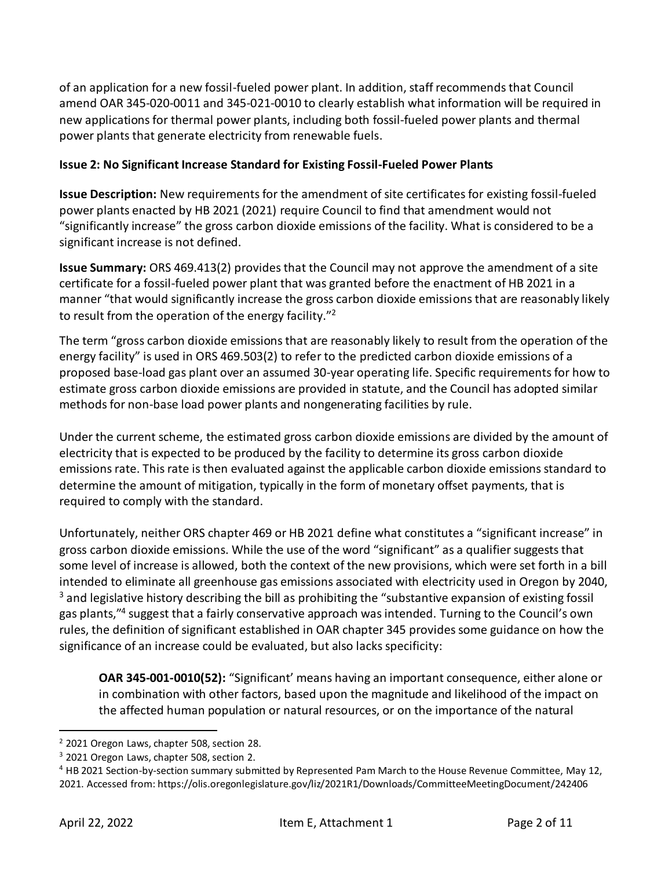of an application for a new fossil-fueled power plant. In addition, staff recommends that Council amend OAR 345-020-0011 and 345-021-0010 to clearly establish what information will be required in new applications for thermal power plants, including both fossil-fueled power plants and thermal power plants that generate electricity from renewable fuels.

### **Issue 2: No Significant Increase Standard for Existing Fossil-Fueled Power Plants**

**Issue Description:** New requirements for the amendment of site certificates for existing fossil-fueled power plants enacted by HB 2021 (2021) require Council to find that amendment would not "significantly increase" the gross carbon dioxide emissions of the facility. What is considered to be a significant increase is not defined.

**Issue Summary:** ORS 469.413(2) provides that the Council may not approve the amendment of a site certificate for a fossil-fueled power plant that was granted before the enactment of HB 2021 in a manner "that would significantly increase the gross carbon dioxide emissions that are reasonably likely to result from the operation of the energy facility."<sup>2</sup>

The term "gross carbon dioxide emissions that are reasonably likely to result from the operation of the energy facility" is used in ORS 469.503(2) to refer to the predicted carbon dioxide emissions of a proposed base-load gas plant over an assumed 30-year operating life. Specific requirements for how to estimate gross carbon dioxide emissions are provided in statute, and the Council has adopted similar methods for non-base load power plants and nongenerating facilities by rule.

Under the current scheme, the estimated gross carbon dioxide emissions are divided by the amount of electricity that is expected to be produced by the facility to determine its gross carbon dioxide emissions rate. This rate is then evaluated against the applicable carbon dioxide emissions standard to determine the amount of mitigation, typically in the form of monetary offset payments, that is required to comply with the standard.

Unfortunately, neither ORS chapter 469 or HB 2021 define what constitutes a "significant increase" in gross carbon dioxide emissions. While the use of the word "significant" as a qualifier suggests that some level of increase is allowed, both the context of the new provisions, which were set forth in a bill intended to eliminate all greenhouse gas emissions associated with electricity used in Oregon by 2040, <sup>3</sup> and legislative history describing the bill as prohibiting the "substantive expansion of existing fossil gas plants,"<sup>4</sup> suggest that a fairly conservative approach was intended. Turning to the Council's own rules, the definition of significant established in OAR chapter 345 provides some guidance on how the significance of an increase could be evaluated, but also lacks specificity:

**OAR 345-001-0010(52):** "Significant' means having an important consequence, either alone or in combination with other factors, based upon the magnitude and likelihood of the impact on the affected human population or natural resources, or on the importance of the natural

<sup>&</sup>lt;sup>2</sup> 2021 Oregon Laws, chapter 508, section 28.

<sup>&</sup>lt;sup>3</sup> 2021 Oregon Laws, chapter 508, section 2.

<sup>4</sup> HB 2021 Section-by-section summary submitted by Represented Pam March to the House Revenue Committee, May 12, 2021. Accessed from: https://olis.oregonlegislature.gov/liz/2021R1/Downloads/CommitteeMeetingDocument/242406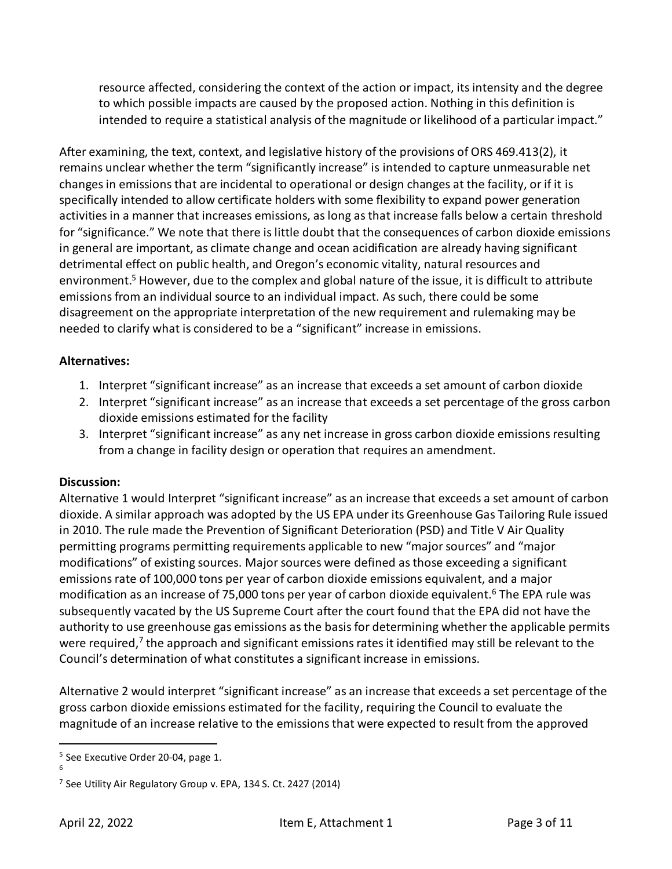resource affected, considering the context of the action or impact, its intensity and the degree to which possible impacts are caused by the proposed action. Nothing in this definition is intended to require a statistical analysis of the magnitude or likelihood of a particular impact."

After examining, the text, context, and legislative history of the provisions of ORS 469.413(2), it remains unclear whether the term "significantly increase" is intended to capture unmeasurable net changes in emissions that are incidental to operational or design changes at the facility, or if it is specifically intended to allow certificate holders with some flexibility to expand power generation activities in a manner that increases emissions, as long as that increase falls below a certain threshold for "significance." We note that there is little doubt that the consequences of carbon dioxide emissions in general are important, as climate change and ocean acidification are already having significant detrimental effect on public health, and Oregon's economic vitality, natural resources and environment.<sup>5</sup> However, due to the complex and global nature of the issue, it is difficult to attribute emissions from an individual source to an individual impact. As such, there could be some disagreement on the appropriate interpretation of the new requirement and rulemaking may be needed to clarify what is considered to be a "significant" increase in emissions.

# **Alternatives:**

- 1. Interpret "significant increase" as an increase that exceeds a set amount of carbon dioxide
- 2. Interpret "significant increase" as an increase that exceeds a set percentage of the gross carbon dioxide emissions estimated for the facility
- 3. Interpret "significant increase" as any net increase in gross carbon dioxide emissions resulting from a change in facility design or operation that requires an amendment.

### **Discussion:**

Alternative 1 would Interpret "significant increase" as an increase that exceeds a set amount of carbon dioxide. A similar approach was adopted by the US EPA under its Greenhouse Gas Tailoring Rule issued in 2010. The rule made the Prevention of Significant Deterioration (PSD) and Title V Air Quality permitting programs permitting requirements applicable to new "major sources" and "major modifications" of existing sources. Major sources were defined as those exceeding a significant emissions rate of 100,000 tons per year of carbon dioxide emissions equivalent, and a major modification as an increase of 75,000 tons per year of carbon dioxide equivalent.<sup>6</sup> The EPA rule was subsequently vacated by the US Supreme Court after the court found that the EPA did not have the authority to use greenhouse gas emissions as the basis for determining whether the applicable permits were required,<sup>7</sup> the approach and significant emissions rates it identified may still be relevant to the Council's determination of what constitutes a significant increase in emissions.

Alternative 2 would interpret "significant increase" as an increase that exceeds a set percentage of the gross carbon dioxide emissions estimated for the facility, requiring the Council to evaluate the magnitude of an increase relative to the emissions that were expected to result from the approved

<sup>&</sup>lt;sup>5</sup> See Executive Order 20-04, page 1. 6

<sup>&</sup>lt;sup>7</sup> See Utility Air Regulatory Group v. EPA, 134 S. Ct. 2427 (2014)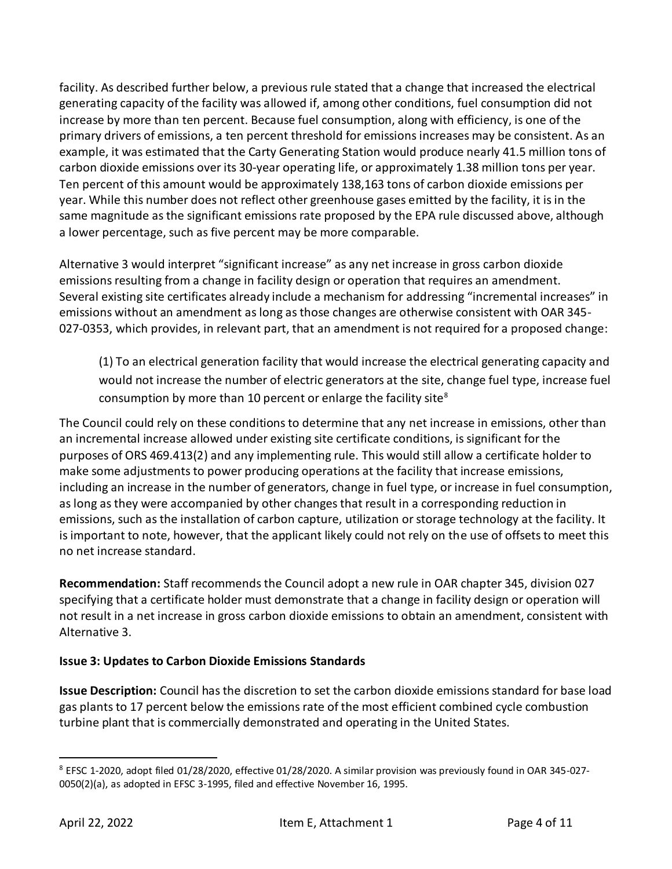facility. As described further below, a previous rule stated that a change that increased the electrical generating capacity of the facility was allowed if, among other conditions, fuel consumption did not increase by more than ten percent. Because fuel consumption, along with efficiency, is one of the primary drivers of emissions, a ten percent threshold for emissions increases may be consistent. As an example, it was estimated that the Carty Generating Station would produce nearly 41.5 million tons of carbon dioxide emissions over its 30-year operating life, or approximately 1.38 million tons per year. Ten percent of this amount would be approximately 138,163 tons of carbon dioxide emissions per year. While this number does not reflect other greenhouse gases emitted by the facility, it is in the same magnitude as the significant emissions rate proposed by the EPA rule discussed above, although a lower percentage, such as five percent may be more comparable.

Alternative 3 would interpret "significant increase" as any net increase in gross carbon dioxide emissions resulting from a change in facility design or operation that requires an amendment. Several existing site certificates already include a mechanism for addressing "incremental increases" in emissions without an amendment as long as those changes are otherwise consistent with OAR 345- 027-0353, which provides, in relevant part, that an amendment is not required for a proposed change:

(1) To an electrical generation facility that would increase the electrical generating capacity and would not increase the number of electric generators at the site, change fuel type, increase fuel consumption by more than 10 percent or enlarge the facility site $8$ 

The Council could rely on these conditions to determine that any net increase in emissions, other than an incremental increase allowed under existing site certificate conditions, is significant for the purposes of ORS 469.413(2) and any implementing rule. This would still allow a certificate holder to make some adjustments to power producing operations at the facility that increase emissions, including an increase in the number of generators, change in fuel type, or increase in fuel consumption, as long as they were accompanied by other changes that result in a corresponding reduction in emissions, such as the installation of carbon capture, utilization or storage technology at the facility. It is important to note, however, that the applicant likely could not rely on the use of offsets to meet this no net increase standard.

**Recommendation:** Staff recommends the Council adopt a new rule in OAR chapter 345, division 027 specifying that a certificate holder must demonstrate that a change in facility design or operation will not result in a net increase in gross carbon dioxide emissions to obtain an amendment, consistent with Alternative 3.

### **Issue 3: Updates to Carbon Dioxide Emissions Standards**

**Issue Description:** Council has the discretion to set the carbon dioxide emissions standard for base load gas plants to 17 percent below the emissions rate of the most efficient combined cycle combustion turbine plant that is commercially demonstrated and operating in the United States.

<sup>8</sup> EFSC 1-2020, adopt filed 01/28/2020, effective 01/28/2020. A similar provision was previously found in OAR 345-027- 0050(2)(a), as adopted in EFSC 3-1995, filed and effective November 16, 1995.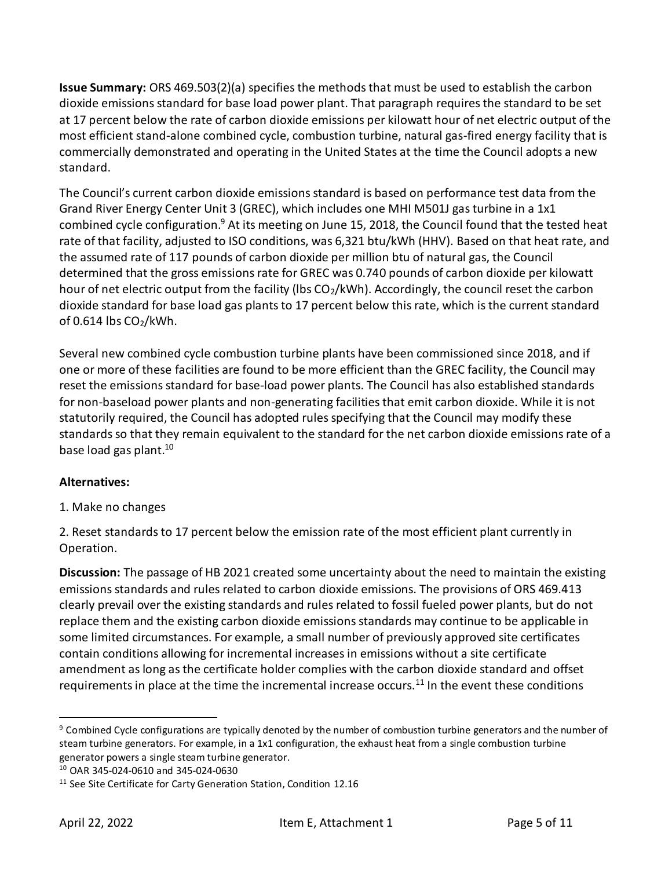**Issue Summary:** ORS 469.503(2)(a) specifies the methods that must be used to establish the carbon dioxide emissions standard for base load power plant. That paragraph requires the standard to be set at 17 percent below the rate of carbon dioxide emissions per kilowatt hour of net electric output of the most efficient stand-alone combined cycle, combustion turbine, natural gas-fired energy facility that is commercially demonstrated and operating in the United States at the time the Council adopts a new standard.

The Council's current carbon dioxide emissions standard is based on performance test data from the Grand River Energy Center Unit 3 (GREC), which includes one MHI M501J gas turbine in a 1x1 combined cycle configuration.<sup>9</sup> At its meeting on June 15, 2018, the Council found that the tested heat rate of that facility, adjusted to ISO conditions, was 6,321 btu/kWh (HHV). Based on that heat rate, and the assumed rate of 117 pounds of carbon dioxide per million btu of natural gas, the Council determined that the gross emissions rate for GREC was 0.740 pounds of carbon dioxide per kilowatt hour of net electric output from the facility (lbs CO<sub>2</sub>/kWh). Accordingly, the council reset the carbon dioxide standard for base load gas plants to 17 percent below this rate, which is the current standard of 0.614 lbs  $CO<sub>2</sub>/kWh$ .

Several new combined cycle combustion turbine plants have been commissioned since 2018, and if one or more of these facilities are found to be more efficient than the GREC facility, the Council may reset the emissions standard for base-load power plants. The Council has also established standards for non-baseload power plants and non-generating facilities that emit carbon dioxide. While it is not statutorily required, the Council has adopted rules specifying that the Council may modify these standards so that they remain equivalent to the standard for the net carbon dioxide emissions rate of a base load gas plant.<sup>10</sup>

### **Alternatives:**

1. Make no changes

2. Reset standards to 17 percent below the emission rate of the most efficient plant currently in Operation.

**Discussion:** The passage of HB 2021 created some uncertainty about the need to maintain the existing emissions standards and rules related to carbon dioxide emissions. The provisions of ORS 469.413 clearly prevail over the existing standards and rules related to fossil fueled power plants, but do not replace them and the existing carbon dioxide emissions standards may continue to be applicable in some limited circumstances. For example, a small number of previously approved site certificates contain conditions allowing for incremental increases in emissions without a site certificate amendment as long as the certificate holder complies with the carbon dioxide standard and offset requirements in place at the time the incremental increase occurs.<sup>11</sup> In the event these conditions

<sup>&</sup>lt;sup>9</sup> Combined Cycle configurations are typically denoted by the number of combustion turbine generators and the number of steam turbine generators. For example, in a 1x1 configuration, the exhaust heat from a single combustion turbine generator powers a single steam turbine generator.

<sup>10</sup> OAR 345-024-0610 and 345-024-0630

<sup>&</sup>lt;sup>11</sup> See Site Certificate for Carty Generation Station, Condition 12.16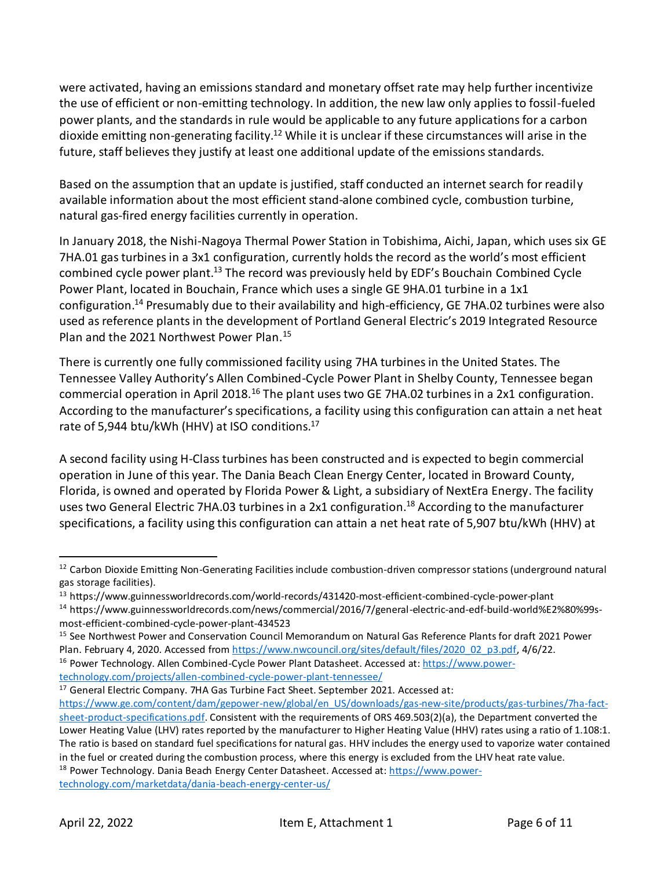were activated, having an emissions standard and monetary offset rate may help further incentivize the use of efficient or non-emitting technology. In addition, the new law only applies to fossil-fueled power plants, and the standards in rule would be applicable to any future applications for a carbon dioxide emitting non-generating facility.<sup>12</sup> While it is unclear if these circumstances will arise in the future, staff believes they justify at least one additional update of the emissions standards.

Based on the assumption that an update is justified, staff conducted an internet search for readily available information about the most efficient stand-alone combined cycle, combustion turbine, natural gas-fired energy facilities currently in operation.

In January 2018, the Nishi-Nagoya Thermal Power Station in Tobishima, Aichi, Japan, which uses six GE 7HA.01 gas turbines in a 3x1 configuration, currently holds the record as the world's most efficient combined cycle power plant.<sup>13</sup> The record was previously held by EDF's Bouchain Combined Cycle Power Plant, located in Bouchain, France which uses a single GE 9HA.01 turbine in a 1x1 configuration.<sup>14</sup> Presumably due to their availability and high-efficiency, GE 7HA.02 turbines were also used as reference plants in the development of Portland General Electric's 2019 Integrated Resource Plan and the 2021 Northwest Power Plan.<sup>15</sup>

There is currently one fully commissioned facility using 7HA turbines in the United States. The Tennessee Valley Authority's Allen Combined-Cycle Power Plant in Shelby County, Tennessee began commercial operation in April 2018.<sup>16</sup> The plant uses two GE 7HA.02 turbines in a 2x1 configuration. According to the manufacturer's specifications, a facility using this configuration can attain a net heat rate of 5,944 btu/kWh (HHV) at ISO conditions.<sup>17</sup>

A second facility using H-Class turbines has been constructed and is expected to begin commercial operation in June of this year. The Dania Beach Clean Energy Center, located in Broward County, Florida, is owned and operated by Florida Power & Light, a subsidiary of NextEra Energy. The facility uses two General Electric 7HA.03 turbines in a 2x1 configuration.<sup>18</sup> According to the manufacturer specifications, a facility using this configuration can attain a net heat rate of 5,907 btu/kWh (HHV) at

<sup>17</sup> General Electric Company. 7HA Gas Turbine Fact Sheet. September 2021. Accessed at:

<sup>18</sup> Power Technology. Dania Beach Energy Center Datasheet. Accessed at[: https://www.power](https://www.power-technology.com/marketdata/dania-beach-energy-center-us/)[technology.com/marketdata/dania-beach-energy-center-us/](https://www.power-technology.com/marketdata/dania-beach-energy-center-us/)

 $12$  Carbon Dioxide Emitting Non-Generating Facilities include combustion-driven compressor stations (underground natural gas storage facilities).

<sup>13</sup> https://www.guinnessworldrecords.com/world-records/431420-most-efficient-combined-cycle-power-plant

<sup>14</sup> https://www.guinnessworldrecords.com/news/commercial/2016/7/general-electric-and-edf-build-world%E2%80%99smost-efficient-combined-cycle-power-plant-434523

<sup>&</sup>lt;sup>15</sup> See Northwest Power and Conservation Council Memorandum on Natural Gas Reference Plants for draft 2021 Power Plan. February 4, 2020. Accessed fro[m https://www.nwcouncil.org/sites/default/files/2020\\_02\\_p3.pdf,](https://www.nwcouncil.org/sites/default/files/2020_02_p3.pdf) 4/6/22.

<sup>16</sup> Power Technology. Allen Combined-Cycle Power Plant Datasheet. Accessed at[: https://www.power](https://www.power-technology.com/projects/allen-combined-cycle-power-plant-tennessee/)[technology.com/projects/allen-combined-cycle-power-plant-tennessee/](https://www.power-technology.com/projects/allen-combined-cycle-power-plant-tennessee/)

[https://www.ge.com/content/dam/gepower-new/global/en\\_US/downloads/gas-new-site/products/gas-turbines/7ha-fact](https://www.ge.com/content/dam/gepower-new/global/en_US/downloads/gas-new-site/products/gas-turbines/7ha-fact-sheet-product-specifications.pdf)[sheet-product-specifications.pdf.](https://www.ge.com/content/dam/gepower-new/global/en_US/downloads/gas-new-site/products/gas-turbines/7ha-fact-sheet-product-specifications.pdf) Consistent with the requirements of ORS 469.503(2)(a), the Department converted the Lower Heating Value (LHV) rates reported by the manufacturer to Higher Heating Value (HHV) rates using a ratio of 1.108:1. The ratio is based on standard fuel specifications for natural gas. HHV includes the energy used to vaporize water contained in the fuel or created during the combustion process, where this energy is excluded from the LHV heat rate value.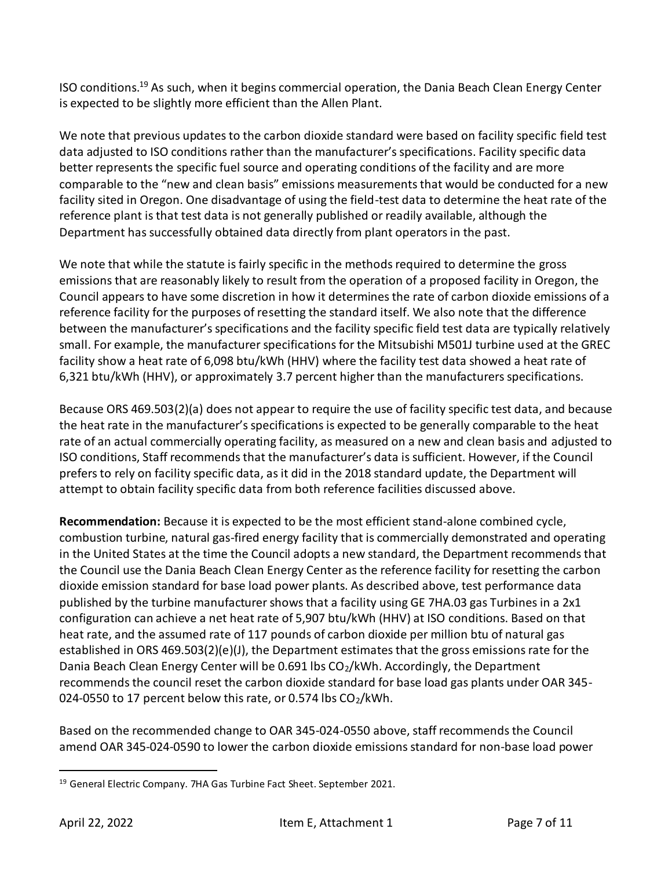ISO conditions.<sup>19</sup> As such, when it begins commercial operation, the Dania Beach Clean Energy Center is expected to be slightly more efficient than the Allen Plant.

We note that previous updates to the carbon dioxide standard were based on facility specific field test data adjusted to ISO conditions rather than the manufacturer's specifications. Facility specific data better represents the specific fuel source and operating conditions of the facility and are more comparable to the "new and clean basis" emissions measurements that would be conducted for a new facility sited in Oregon. One disadvantage of using the field-test data to determine the heat rate of the reference plant is that test data is not generally published or readily available, although the Department has successfully obtained data directly from plant operators in the past.

We note that while the statute is fairly specific in the methods required to determine the gross emissions that are reasonably likely to result from the operation of a proposed facility in Oregon, the Council appears to have some discretion in how it determines the rate of carbon dioxide emissions of a reference facility for the purposes of resetting the standard itself. We also note that the difference between the manufacturer's specifications and the facility specific field test data are typically relatively small. For example, the manufacturer specifications for the Mitsubishi M501J turbine used at the GREC facility show a heat rate of 6,098 btu/kWh (HHV) where the facility test data showed a heat rate of 6,321 btu/kWh (HHV), or approximately 3.7 percent higher than the manufacturers specifications.

Because ORS 469.503(2)(a) does not appear to require the use of facility specific test data, and because the heat rate in the manufacturer's specifications is expected to be generally comparable to the heat rate of an actual commercially operating facility, as measured on a new and clean basis and adjusted to ISO conditions, Staff recommends that the manufacturer's data is sufficient. However, if the Council prefers to rely on facility specific data, as it did in the 2018 standard update, the Department will attempt to obtain facility specific data from both reference facilities discussed above.

**Recommendation:** Because it is expected to be the most efficient stand-alone combined cycle, combustion turbine, natural gas-fired energy facility that is commercially demonstrated and operating in the United States at the time the Council adopts a new standard, the Department recommends that the Council use the Dania Beach Clean Energy Center as the reference facility for resetting the carbon dioxide emission standard for base load power plants. As described above, test performance data published by the turbine manufacturer shows that a facility using GE 7HA.03 gas Turbines in a 2x1 configuration can achieve a net heat rate of 5,907 btu/kWh (HHV) at ISO conditions. Based on that heat rate, and the assumed rate of 117 pounds of carbon dioxide per million btu of natural gas established in ORS 469.503(2)(e)(J), the Department estimates that the gross emissions rate for the Dania Beach Clean Energy Center will be  $0.691$  lbs  $CO<sub>2</sub>/kWh$ . Accordingly, the Department recommends the council reset the carbon dioxide standard for base load gas plants under OAR 345- 024-0550 to 17 percent below this rate, or 0.574 lbs  $CO_2/kWh$ .

Based on the recommended change to OAR 345-024-0550 above, staff recommends the Council amend OAR 345-024-0590 to lower the carbon dioxide emissions standard for non-base load power

<sup>&</sup>lt;sup>19</sup> General Electric Company. 7HA Gas Turbine Fact Sheet. September 2021.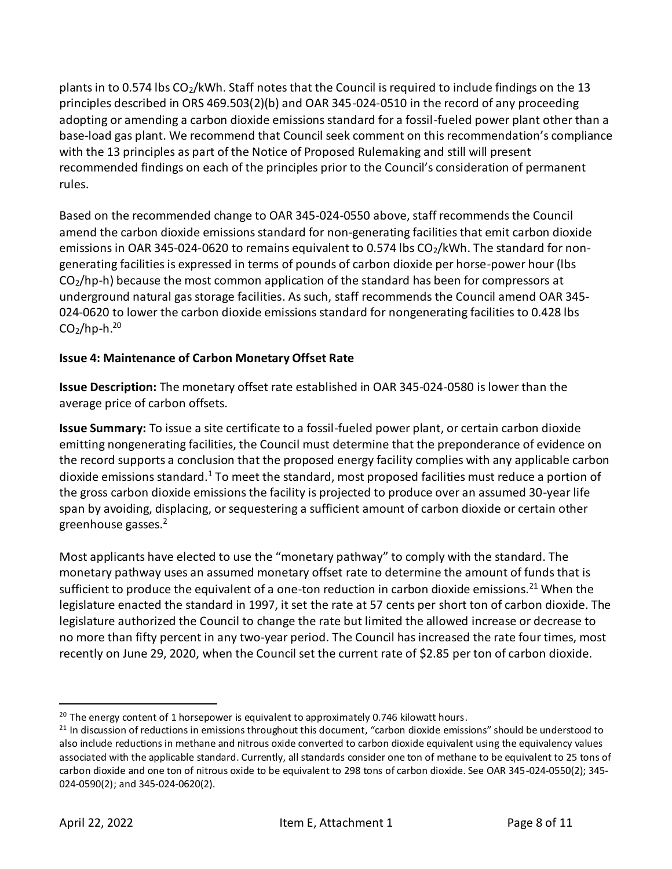plants in to 0.574 lbs  $CO_2/kWh$ . Staff notes that the Council is required to include findings on the 13 principles described in ORS 469.503(2)(b) and OAR 345-024-0510 in the record of any proceeding adopting or amending a carbon dioxide emissions standard for a fossil-fueled power plant other than a base-load gas plant. We recommend that Council seek comment on thisrecommendation's compliance with the 13 principles as part of the Notice of Proposed Rulemaking and still will present recommended findings on each of the principles prior to the Council's consideration of permanent rules.

Based on the recommended change to OAR 345-024-0550 above, staff recommends the Council amend the carbon dioxide emissions standard for non-generating facilities that emit carbon dioxide emissions in OAR 345-024-0620 to remains equivalent to 0.574 lbs CO<sub>2</sub>/kWh. The standard for nongenerating facilities is expressed in terms of pounds of carbon dioxide per horse-power hour (lbs  $CO<sub>2</sub>/hp-h$ ) because the most common application of the standard has been for compressors at underground natural gas storage facilities. As such, staff recommends the Council amend OAR 345- 024-0620 to lower the carbon dioxide emissions standard for nongenerating facilities to 0.428 lbs  $CO<sub>2</sub>/hp-h.<sup>20</sup>$ 

# **Issue 4: Maintenance of Carbon Monetary Offset Rate**

**Issue Description:** The monetary offset rate established in OAR 345-024-0580 is lower than the average price of carbon offsets.

**Issue Summary:** To issue a site certificate to a fossil-fueled power plant, or certain carbon dioxide emitting nongenerating facilities, the Council must determine that the preponderance of evidence on the record supports a conclusion that the proposed energy facility complies with any applicable carbon dioxide emissions standard.<sup>1</sup> To meet the standard, most proposed facilities must reduce a portion of the gross carbon dioxide emissions the facility is projected to produce over an assumed 30-year life span by avoiding, displacing, or sequestering a sufficient amount of carbon dioxide or certain other greenhouse gasses.<sup>2</sup>

Most applicants have elected to use the "monetary pathway" to comply with the standard. The monetary pathway uses an assumed monetary offset rate to determine the amount of funds that is sufficient to produce the equivalent of a one-ton reduction in carbon dioxide emissions.<sup>21</sup> When the legislature enacted the standard in 1997, it set the rate at 57 cents per short ton of carbon dioxide. The legislature authorized the Council to change the rate but limited the allowed increase or decrease to no more than fifty percent in any two-year period. The Council has increased the rate four times, most recently on June 29, 2020, when the Council set the current rate of \$2.85 per ton of carbon dioxide.

<sup>&</sup>lt;sup>20</sup> The energy content of 1 horsepower is equivalent to approximately 0.746 kilowatt hours.

 $21$  In discussion of reductions in emissions throughout this document, "carbon dioxide emissions" should be understood to also include reductions in methane and nitrous oxide converted to carbon dioxide equivalent using the equivalency values associated with the applicable standard. Currently, all standards consider one ton of methane to be equivalent to 25 tons of carbon dioxide and one ton of nitrous oxide to be equivalent to 298 tons of carbon dioxide. See OAR 345-024-0550(2); 345- 024-0590(2); and 345-024-0620(2).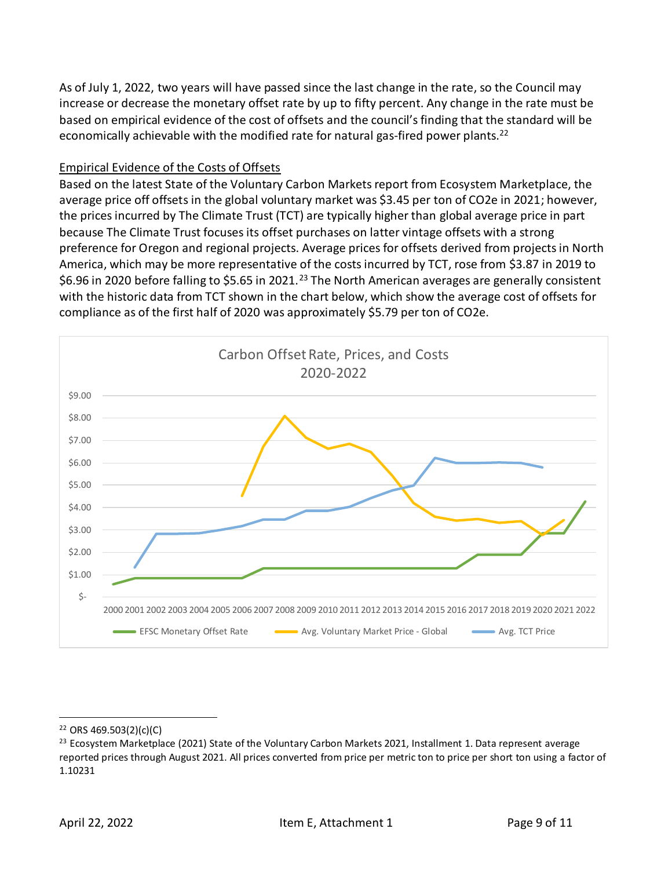As of July 1, 2022, two years will have passed since the last change in the rate, so the Council may increase or decrease the monetary offset rate by up to fifty percent. Any change in the rate must be based on empirical evidence of the cost of offsets and the council's finding that the standard will be economically achievable with the modified rate for natural gas-fired power plants.<sup>22</sup>

### Empirical Evidence of the Costs of Offsets

Based on the latest State of the Voluntary Carbon Markets report from Ecosystem Marketplace, the average price off offsets in the global voluntary market was \$3.45 per ton of CO2e in 2021; however, the prices incurred by The Climate Trust (TCT) are typically higher than global average price in part because The Climate Trust focuses its offset purchases on latter vintage offsets with a strong preference for Oregon and regional projects. Average prices for offsets derived from projects in North America, which may be more representative of the costs incurred by TCT, rose from \$3.87 in 2019 to \$6.96 in 2020 before falling to \$5.65 in 2021.<sup>23</sup> The North American averages are generally consistent with the historic data from TCT shown in the chart below, which show the average cost of offsets for compliance as of the first half of 2020 was approximately \$5.79 per ton of CO2e.



 $22$  ORS 469.503(2)(c)(C)

<sup>&</sup>lt;sup>23</sup> Ecosystem Marketplace (2021) State of the Voluntary Carbon Markets 2021, Installment 1. Data represent average reported prices through August 2021. All prices converted from price per metric ton to price per short ton using a factor of 1.10231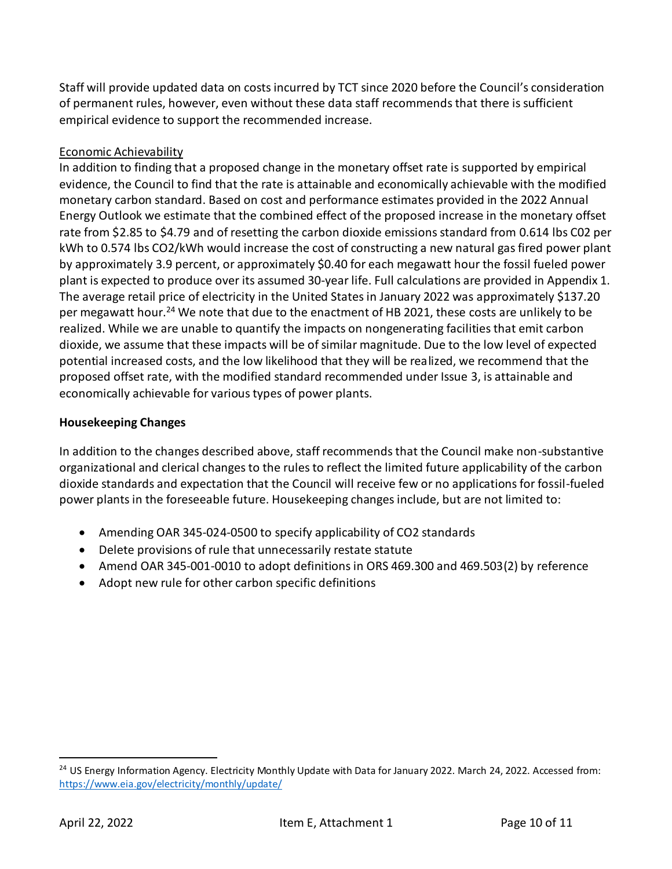Staff will provide updated data on costs incurred by TCT since 2020 before the Council's consideration of permanent rules, however, even without these data staff recommends that there is sufficient empirical evidence to support the recommended increase.

# Economic Achievability

In addition to finding that a proposed change in the monetary offset rate is supported by empirical evidence, the Council to find that the rate is attainable and economically achievable with the modified monetary carbon standard. Based on cost and performance estimates provided in the 2022 Annual Energy Outlook we estimate that the combined effect of the proposed increase in the monetary offset rate from \$2.85 to \$4.79 and of resetting the carbon dioxide emissions standard from 0.614 lbs C02 per kWh to 0.574 lbs CO2/kWh would increase the cost of constructing a new natural gas fired power plant by approximately 3.9 percent, or approximately \$0.40 for each megawatt hour the fossil fueled power plant is expected to produce over its assumed 30-year life. Full calculations are provided in Appendix 1. The average retail price of electricity in the United States in January 2022 was approximately \$137.20 per megawatt hour.<sup>24</sup> We note that due to the enactment of HB 2021, these costs are unlikely to be realized. While we are unable to quantify the impacts on nongenerating facilities that emit carbon dioxide, we assume that these impacts will be of similar magnitude. Due to the low level of expected potential increased costs, and the low likelihood that they will be realized, we recommend that the proposed offset rate, with the modified standard recommended under Issue 3, is attainable and economically achievable for various types of power plants.

### **Housekeeping Changes**

In addition to the changes described above, staff recommends that the Council make non-substantive organizational and clerical changes to the rules to reflect the limited future applicability of the carbon dioxide standards and expectation that the Council will receive few or no applications for fossil-fueled power plants in the foreseeable future. Housekeeping changes include, but are not limited to:

- Amending OAR 345-024-0500 to specify applicability of CO2 standards
- Delete provisions of rule that unnecessarily restate statute
- Amend OAR 345-001-0010 to adopt definitions in ORS 469.300 and 469.503(2) by reference
- Adopt new rule for other carbon specific definitions

<sup>&</sup>lt;sup>24</sup> US Energy Information Agency. Electricity Monthly Update with Data for January 2022. March 24, 2022. Accessed from: <https://www.eia.gov/electricity/monthly/update/>